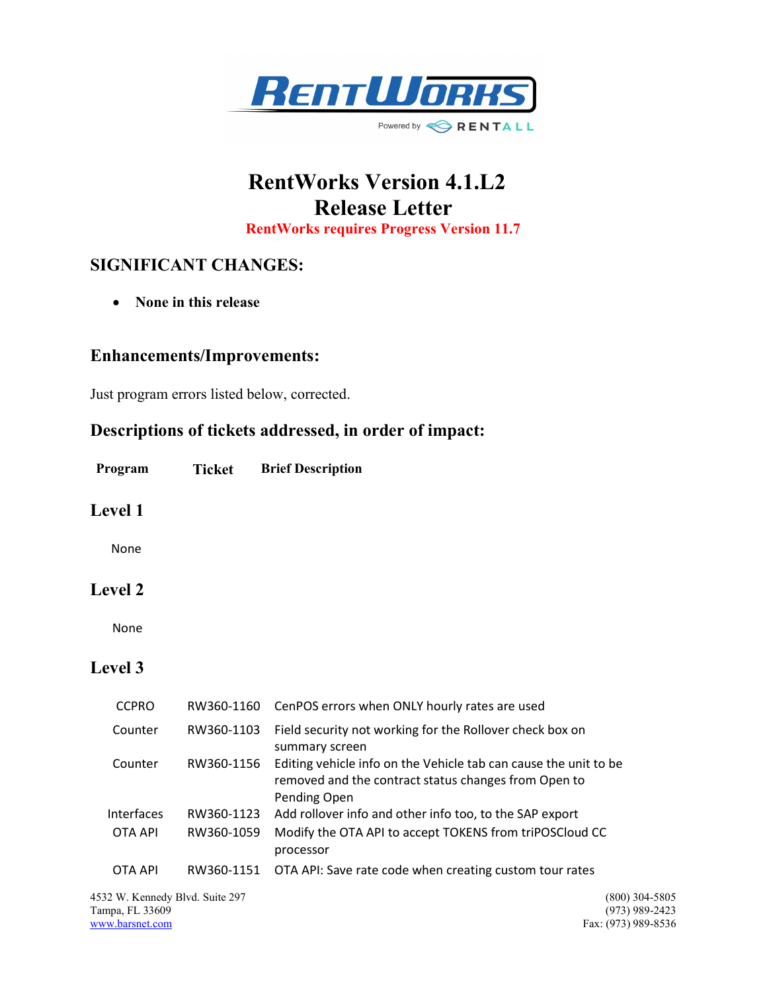

# RentWorks Version 4.1.L2 Release Letter RentWorks requires Progress Version 11.7

### SIGNIFICANT CHANGES:

• None in this release

#### Enhancements/Improvements:

Just program errors listed below, corrected.

## Descriptions of tickets addressed, in order of impact:

Program Ticket Brief Description

#### Level 1

None

#### Level 2

None

### Level 3

| <b>CCPRO</b> | RW360-1160 | CenPOS errors when ONLY hourly rates are used                                                                                            |
|--------------|------------|------------------------------------------------------------------------------------------------------------------------------------------|
| Counter      | RW360-1103 | Field security not working for the Rollover check box on<br>summary screen                                                               |
| Counter      | RW360-1156 | Editing vehicle info on the Vehicle tab can cause the unit to be<br>removed and the contract status changes from Open to<br>Pending Open |
| Interfaces   | RW360-1123 | Add rollover info and other info too, to the SAP export                                                                                  |
| OTA API      | RW360-1059 | Modify the OTA API to accept TOKENS from triPOSCloud CC<br>processor                                                                     |
| OTA API      |            | RW360-1151 OTA API: Save rate code when creating custom tour rates                                                                       |

4532 W. Kennedy Blvd. Suite 297 (800) 304-5805<br>
Tampa, FL 33609 (973) 989-2423 Tampa, FL 33609<br>www.barsnet.com